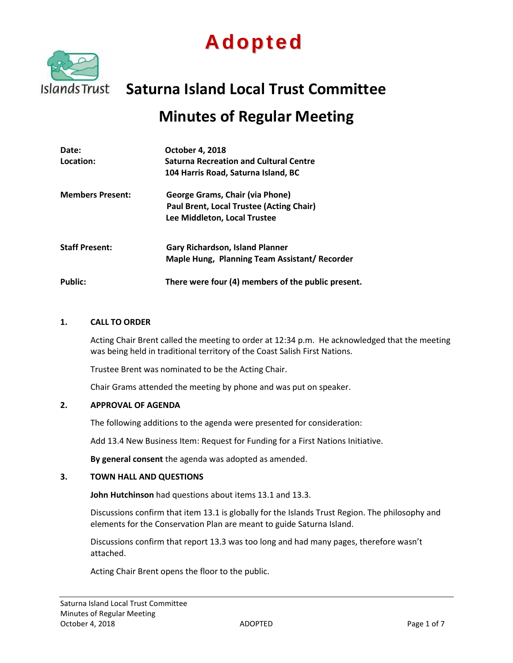



# **Saturna Island Local Trust Committee**

## **Minutes of Regular Meeting**

| Date:                   | <b>October 4, 2018</b>                             |
|-------------------------|----------------------------------------------------|
| Location:               | <b>Saturna Recreation and Cultural Centre</b>      |
|                         | 104 Harris Road, Saturna Island, BC                |
| <b>Members Present:</b> | George Grams, Chair (via Phone)                    |
|                         | Paul Brent, Local Trustee (Acting Chair)           |
|                         | Lee Middleton, Local Trustee                       |
| <b>Staff Present:</b>   | <b>Gary Richardson, Island Planner</b>             |
|                         | Maple Hung, Planning Team Assistant/ Recorder      |
| <b>Public:</b>          | There were four (4) members of the public present. |

#### **1. CALL TO ORDER**

Acting Chair Brent called the meeting to order at 12:34 p.m. He acknowledged that the meeting was being held in traditional territory of the Coast Salish First Nations.

Trustee Brent was nominated to be the Acting Chair.

Chair Grams attended the meeting by phone and was put on speaker.

#### **2. APPROVAL OF AGENDA**

The following additions to the agenda were presented for consideration:

Add 13.4 New Business Item: Request for Funding for a First Nations Initiative.

**By general consent** the agenda was adopted as amended.

#### **3. TOWN HALL AND QUESTIONS**

**John Hutchinson** had questions about items 13.1 and 13.3.

Discussions confirm that item 13.1 is globally for the Islands Trust Region. The philosophy and elements for the Conservation Plan are meant to guide Saturna Island.

Discussions confirm that report 13.3 was too long and had many pages, therefore wasn't attached.

Acting Chair Brent opens the floor to the public.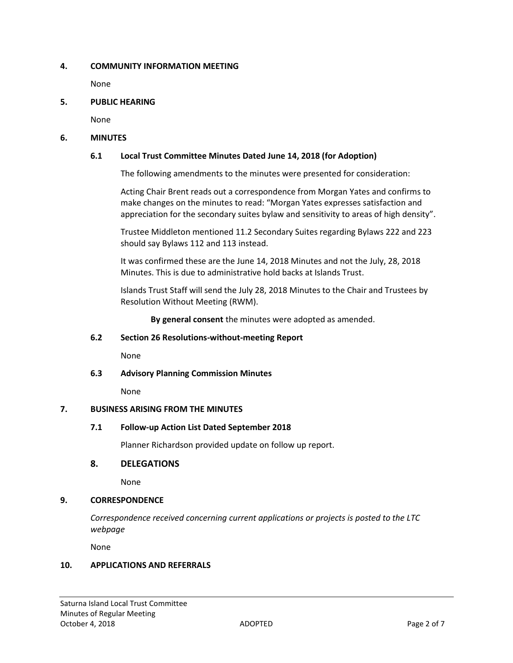## **4. COMMUNITY INFORMATION MEETING**

None

## **5. PUBLIC HEARING**

None

## **6. MINUTES**

## **6.1 Local Trust Committee Minutes Dated June 14, 2018 (for Adoption)**

The following amendments to the minutes were presented for consideration:

Acting Chair Brent reads out a correspondence from Morgan Yates and confirms to make changes on the minutes to read: "Morgan Yates expresses satisfaction and appreciation for the secondary suites bylaw and sensitivity to areas of high density".

Trustee Middleton mentioned 11.2 Secondary Suites regarding Bylaws 222 and 223 should say Bylaws 112 and 113 instead.

It was confirmed these are the June 14, 2018 Minutes and not the July, 28, 2018 Minutes. This is due to administrative hold backs at Islands Trust.

Islands Trust Staff will send the July 28, 2018 Minutes to the Chair and Trustees by Resolution Without Meeting (RWM).

**By general consent** the minutes were adopted as amended.

## **6.2 Section 26 Resolutions-without-meeting Report**

None

**6.3 Advisory Planning Commission Minutes** 

None

## **7. BUSINESS ARISING FROM THE MINUTES**

## **7.1 Follow-up Action List Dated September 2018**

Planner Richardson provided update on follow up report.

## **8. DELEGATIONS**

None

## **9. CORRESPONDENCE**

*Correspondence received concerning current applications or projects is posted to the LTC webpage*

None

## **10. APPLICATIONS AND REFERRALS**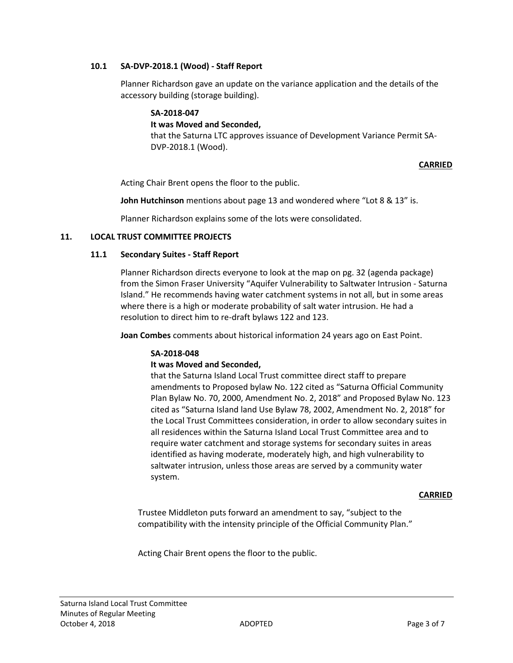## **10.1 SA-DVP-2018.1 (Wood) - Staff Report**

Planner Richardson gave an update on the variance application and the details of the accessory building (storage building).

## **SA-2018-047**

## **It was Moved and Seconded,**

that the Saturna LTC approves issuance of Development Variance Permit SA-DVP-2018.1 (Wood).

## **CARRIED**

Acting Chair Brent opens the floor to the public.

**John Hutchinson** mentions about page 13 and wondered where "Lot 8 & 13" is.

Planner Richardson explains some of the lots were consolidated.

## **11. LOCAL TRUST COMMITTEE PROJECTS**

## **11.1 Secondary Suites - Staff Report**

Planner Richardson directs everyone to look at the map on pg. 32 (agenda package) from the Simon Fraser University "Aquifer Vulnerability to Saltwater Intrusion - Saturna Island." He recommends having water catchment systems in not all, but in some areas where there is a high or moderate probability of salt water intrusion. He had a resolution to direct him to re-draft bylaws 122 and 123.

**Joan Combes** comments about historical information 24 years ago on East Point.

## **SA-2018-048**

## **It was Moved and Seconded,**

that the Saturna Island Local Trust committee direct staff to prepare amendments to Proposed bylaw No. 122 cited as "Saturna Official Community Plan Bylaw No. 70, 2000, Amendment No. 2, 2018" and Proposed Bylaw No. 123 cited as "Saturna Island land Use Bylaw 78, 2002, Amendment No. 2, 2018" for the Local Trust Committees consideration, in order to allow secondary suites in all residences within the Saturna Island Local Trust Committee area and to require water catchment and storage systems for secondary suites in areas identified as having moderate, moderately high, and high vulnerability to saltwater intrusion, unless those areas are served by a community water system.

## **CARRIED**

Trustee Middleton puts forward an amendment to say, "subject to the compatibility with the intensity principle of the Official Community Plan."

Acting Chair Brent opens the floor to the public.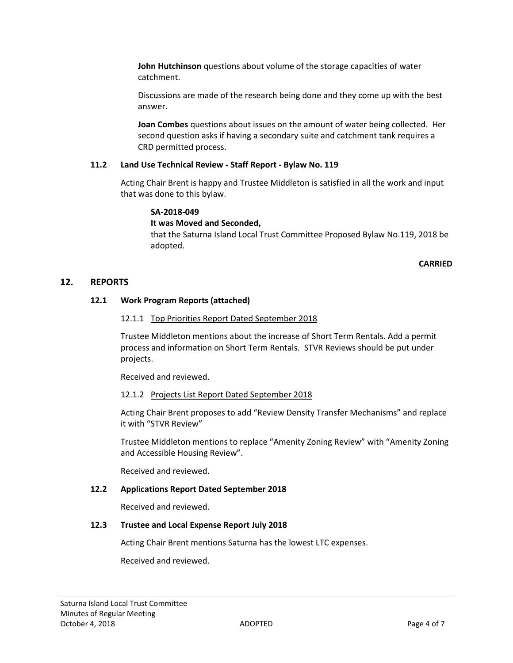**John Hutchinson** questions about volume of the storage capacities of water catchment.

Discussions are made of the research being done and they come up with the best answer.

**Joan Combes** questions about issues on the amount of water being collected. Her second question asks if having a secondary suite and catchment tank requires a CRD permitted process.

## **11.2 Land Use Technical Review - Staff Report - Bylaw No. 119**

Acting Chair Brent is happy and Trustee Middleton is satisfied in all the work and input that was done to this bylaw.

## **SA-2018-049**

## **It was Moved and Seconded,**

that the Saturna Island Local Trust Committee Proposed Bylaw No.119, 2018 be adopted.

## **CARRIED**

## **12. REPORTS**

## **12.1 Work Program Reports (attached)**

#### 12.1.1 Top Priorities Report Dated September 2018

Trustee Middleton mentions about the increase of Short Term Rentals. Add a permit process and information on Short Term Rentals. STVR Reviews should be put under projects.

Received and reviewed.

## 12.1.2 Projects List Report Dated September 2018

Acting Chair Brent proposes to add "Review Density Transfer Mechanisms" and replace it with "STVR Review"

Trustee Middleton mentions to replace "Amenity Zoning Review" with "Amenity Zoning and Accessible Housing Review".

Received and reviewed.

## **12.2 Applications Report Dated September 2018**

Received and reviewed.

## **12.3 Trustee and Local Expense Report July 2018**

Acting Chair Brent mentions Saturna has the lowest LTC expenses.

Received and reviewed.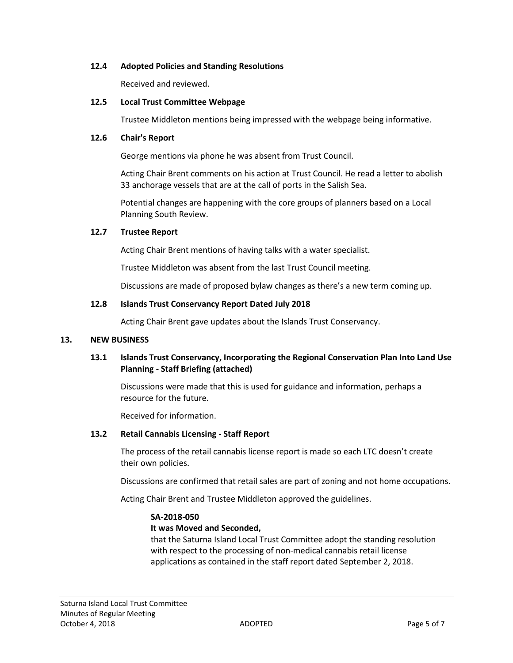## **12.4 Adopted Policies and Standing Resolutions**

Received and reviewed.

## **12.5 Local Trust Committee Webpage**

Trustee Middleton mentions being impressed with the webpage being informative.

## **12.6 Chair's Report**

George mentions via phone he was absent from Trust Council.

Acting Chair Brent comments on his action at Trust Council. He read a letter to abolish 33 anchorage vessels that are at the call of ports in the Salish Sea.

Potential changes are happening with the core groups of planners based on a Local Planning South Review.

## **12.7 Trustee Report**

Acting Chair Brent mentions of having talks with a water specialist.

Trustee Middleton was absent from the last Trust Council meeting.

Discussions are made of proposed bylaw changes as there's a new term coming up.

## **12.8 Islands Trust Conservancy Report Dated July 2018**

Acting Chair Brent gave updates about the Islands Trust Conservancy.

## **13. NEW BUSINESS**

## **13.1 Islands Trust Conservancy, Incorporating the Regional Conservation Plan Into Land Use Planning - Staff Briefing (attached)**

Discussions were made that this is used for guidance and information, perhaps a resource for the future.

Received for information.

## **13.2 Retail Cannabis Licensing - Staff Report**

The process of the retail cannabis license report is made so each LTC doesn't create their own policies.

Discussions are confirmed that retail sales are part of zoning and not home occupations.

Acting Chair Brent and Trustee Middleton approved the guidelines.

## **SA-2018-050**

## **It was Moved and Seconded,**

that the Saturna Island Local Trust Committee adopt the standing resolution with respect to the processing of non-medical cannabis retail license applications as contained in the staff report dated September 2, 2018.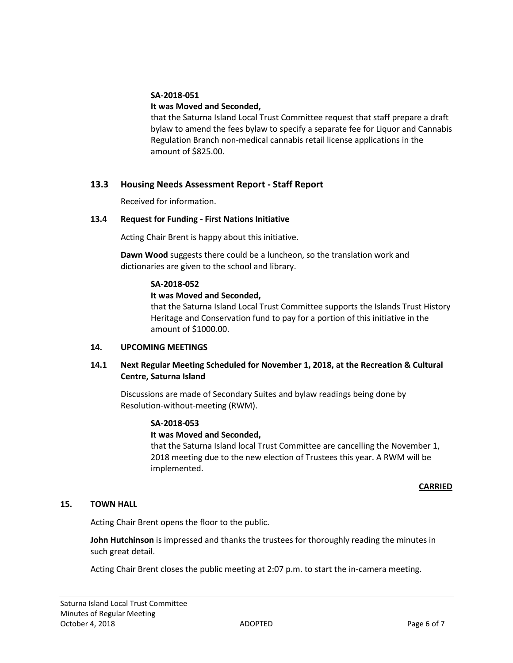## **SA-2018-051**

## **It was Moved and Seconded,**

that the Saturna Island Local Trust Committee request that staff prepare a draft bylaw to amend the fees bylaw to specify a separate fee for Liquor and Cannabis Regulation Branch non-medical cannabis retail license applications in the amount of \$825.00.

## **13.3 Housing Needs Assessment Report - Staff Report**

Received for information.

## **13.4 Request for Funding - First Nations Initiative**

Acting Chair Brent is happy about this initiative.

**Dawn Wood** suggests there could be a luncheon, so the translation work and dictionaries are given to the school and library.

## **SA-2018-052**

## **It was Moved and Seconded,**

that the Saturna Island Local Trust Committee supports the Islands Trust History Heritage and Conservation fund to pay for a portion of this initiative in the amount of \$1000.00.

## **14. UPCOMING MEETINGS**

## **14.1 Next Regular Meeting Scheduled for November 1, 2018, at the Recreation & Cultural Centre, Saturna Island**

Discussions are made of Secondary Suites and bylaw readings being done by Resolution-without-meeting (RWM).

## **SA-2018-053**

## **It was Moved and Seconded,**

that the Saturna Island local Trust Committee are cancelling the November 1, 2018 meeting due to the new election of Trustees this year. A RWM will be implemented.

## **CARRIED**

## **15. TOWN HALL**

Acting Chair Brent opens the floor to the public.

**John Hutchinson** is impressed and thanks the trustees for thoroughly reading the minutes in such great detail.

Acting Chair Brent closes the public meeting at 2:07 p.m. to start the in-camera meeting.